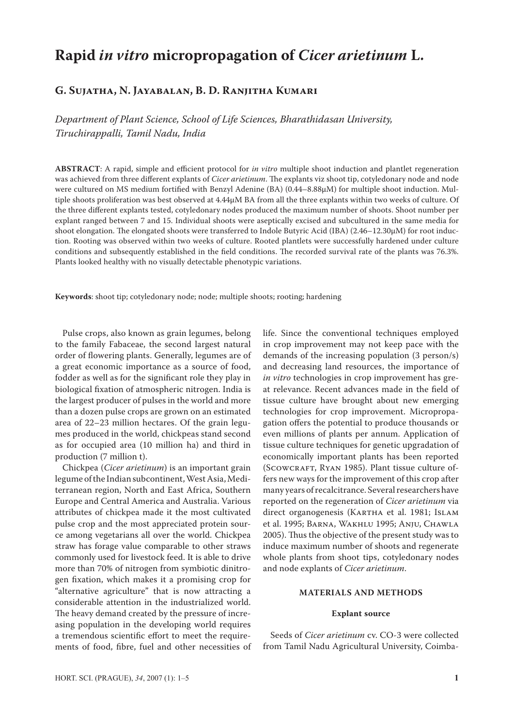# **Rapid** *in vitro* **micropropagation of** *Cicer arietinum* **L.**

# **G. Sujatha, N. Jayabalan, B. D. Ranjitha Kumari**

*Department of Plant Science, School of Life Sciences, Bharathidasan University, Tiruchirappalli, Tamil Nadu, India*

**ABSTRACT**: A rapid, simple and efficient protocol for *in vitro* multiple shoot induction and plantlet regeneration was achieved from three different explants of *Cicer arietinum*. The explants viz shoot tip, cotyledonary node and node were cultured on MS medium fortified with Benzyl Adenine (BA) (0.44–8.88μM) for multiple shoot induction. Multiple shoots proliferation was best observed at 4.44μM BA from all the three explants within two weeks of culture. Of the three different explants tested, cotyledonary nodes produced the maximum number of shoots. Shoot number per explant ranged between 7 and 15. Individual shoots were aseptically excised and subcultured in the same media for shoot elongation. The elongated shoots were transferred to Indole Butyric Acid (IBA) (2.46–12.30μM) for root induction. Rooting was observed within two weeks of culture. Rooted plantlets were successfully hardened under culture conditions and subsequently established in the field conditions. The recorded survival rate of the plants was 76.3%. Plants looked healthy with no visually detectable phenotypic variations.

**Keywords**: shoot tip; cotyledonary node; node; multiple shoots; rooting; hardening

Pulse crops, also known as grain legumes, belong to the family Fabaceae, the second largest natural order of flowering plants. Generally, legumes are of a great economic importance as a source of food, fodder as well as for the significant role they play in biological fixation of atmospheric nitrogen. India is the largest producer of pulses in the world and more than a dozen pulse crops are grown on an estimated area of 22–23 million hectares. Of the grain legumes produced in the world, chickpeas stand second as for occupied area (10 million ha) and third in production (7 million t).

Chickpea (*Cicer arietinum*) is an important grain legume of the Indian subcontinent, West Asia, Mediterranean region, North and East Africa, Southern Europe and Central America and Australia. Various attributes of chickpea made it the most cultivated pulse crop and the most appreciated protein source among vegetarians all over the world. Chickpea straw has forage value comparable to other straws commonly used for livestock feed. It is able to drive more than 70% of nitrogen from symbiotic dinitrogen fixation, which makes it a promising crop for "alternative agriculture" that is now attracting a considerable attention in the industrialized world. The heavy demand created by the pressure of increasing population in the developing world requires a tremendous scientific effort to meet the requirements of food, fibre, fuel and other necessities of life. Since the conventional techniques employed in crop improvement may not keep pace with the demands of the increasing population (3 person/s) and decreasing land resources, the importance of *in vitro* technologies in crop improvement has great relevance. Recent advances made in the field of tissue culture have brought about new emerging technologies for crop improvement. Micropropagation offers the potential to produce thousands or even millions of plants per annum. Application of tissue culture techniques for genetic upgradation of economically important plants has been reported (SCOWCRAFT, RYAN 1985). Plant tissue culture offers new ways for the improvement of this crop after many years of recalcitrance. Several researchers have reported on the regeneration of *Cicer arietinum* via direct organogenesis (KARTHA et al. 1981; ISLAM et al. 1995; Barna, Wakhlu 1995; Anju, Chawla 2005). Thus the objective of the present study was to induce maximum number of shoots and regenerate whole plants from shoot tips, cotyledonary nodes and node explants of *Cicer arietinum*.

## **MATERIALS AND METHODS**

#### **Explant source**

Seeds of *Cicer arietinum* cv. CO-3 were collected from Tamil Nadu Agricultural University, Coimba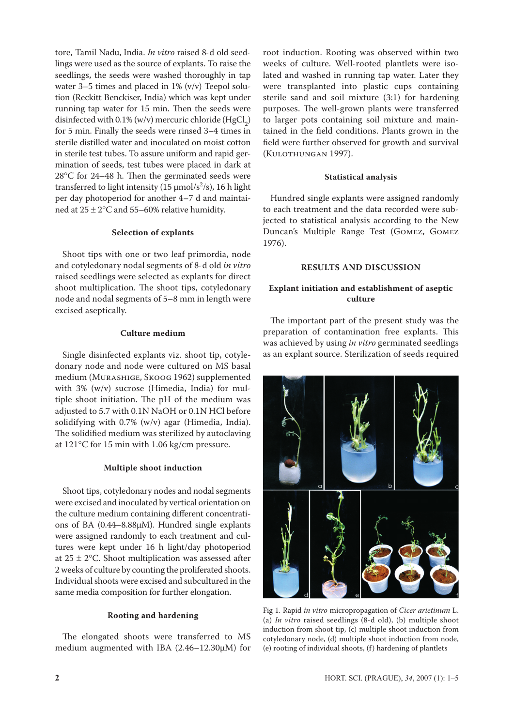tore, Tamil Nadu, India. *In vitro* raised 8-d old seedlings were used as the source of explants. To raise the seedlings, the seeds were washed thoroughly in tap water 3–5 times and placed in 1% (v/v) Teepol solution (Reckitt Benckiser, India) which was kept under running tap water for 15 min. Then the seeds were disinfected with 0.1% (w/v) mercuric chloride (HgCl<sub>2</sub>) for 5 min. Finally the seeds were rinsed 3–4 times in sterile distilled water and inoculated on moist cotton in sterile test tubes. To assure uniform and rapid germination of seeds, test tubes were placed in dark at 28°C for 24–48 h. Then the germinated seeds were transferred to light intensity (15  $\mu$ mol/s<sup>2</sup>/s), 16 h light per day photoperiod for another 4–7 d and maintained at  $25 \pm 2$ °C and 55–60% relative humidity.

## **Selection of explants**

Shoot tips with one or two leaf primordia, node and cotyledonary nodal segments of 8-d old *in vitro* raised seedlings were selected as explants for direct shoot multiplication. The shoot tips, cotyledonary node and nodal segments of 5–8 mm in length were excised aseptically.

## **Culture medium**

Single disinfected explants viz. shoot tip, cotyledonary node and node were cultured on MS basal medium (Murashige, Skoog 1962) supplemented with 3% (w/v) sucrose (Himedia, India) for multiple shoot initiation. The pH of the medium was adjusted to 5.7 with 0.1N NaOH or 0.1N HCl before solidifying with 0.7% (w/v) agar (Himedia, India). The solidified medium was sterilized by autoclaving at 121°C for 15 min with 1.06 kg/cm pressure.

## **Multiple shoot induction**

Shoot tips, cotyledonary nodes and nodal segments were excised and inoculated by vertical orientation on the culture medium containing different concentrations of BA (0.44–8.88μM). Hundred single explants were assigned randomly to each treatment and cultures were kept under 16 h light/day photoperiod at  $25 \pm 2$ °C. Shoot multiplication was assessed after 2 weeks of culture by counting the proliferated shoots. Individual shoots were excised and subcultured in the same media composition for further elongation.

#### **Rooting and hardening**

The elongated shoots were transferred to MS medium augmented with IBA (2.46–12.30μM) for

root induction. Rooting was observed within two weeks of culture. Well-rooted plantlets were isolated and washed in running tap water. Later they were transplanted into plastic cups containing sterile sand and soil mixture (3:1) for hardening purposes. The well-grown plants were transferred to larger pots containing soil mixture and maintained in the field conditions. Plants grown in the field were further observed for growth and survival (Kulothungan 1997).

#### **Statistical analysis**

Hundred single explants were assigned randomly to each treatment and the data recorded were subjected to statistical analysis according to the New Duncan's Multiple Range Test (Gomez, Gomez 1976).

## **RESULTS AND DISCUSSION**

## **Explant initiation and establishment of aseptic culture**

The important part of the present study was the preparation of contamination free explants. This was achieved by using *in vitro* germinated seedlings as an explant source. Sterilization of seeds required



Fig 1. Rapid *in vitro* micropropagation of *Cicer arietinum* L. (a) *In vitro* raised seedlings (8-d old), (b) multiple shoot induction from shoot tip, (c) multiple shoot induction from cotyledonary node, (d) multiple shoot induction from node, (e) rooting of individual shoots, (f) hardening of plantlets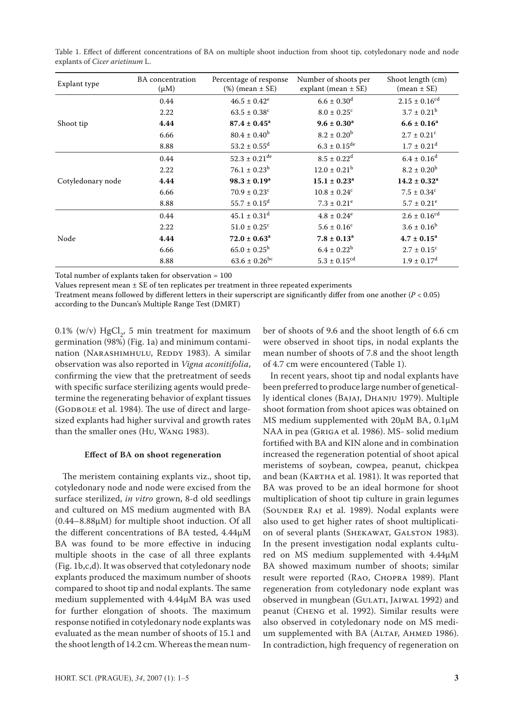| Explant type      | <b>BA</b> concentration<br>$(\mu M)$ | Percentage of response<br>$(\%)$ (mean $\pm$ SE) | Number of shoots per<br>explant (mean $\pm$ SE) | Shoot length (cm)<br>$(mean \pm SE)$ |
|-------------------|--------------------------------------|--------------------------------------------------|-------------------------------------------------|--------------------------------------|
| Shoot tip         | 0.44                                 | $46.5 \pm 0.42^e$                                | $6.6 \pm 0.30$ <sup>d</sup>                     | $2.15 \pm 0.16^{cd}$                 |
|                   | 2.22                                 | $63.5 \pm 0.38$ <sup>c</sup>                     | $8.0 \pm 0.25$ <sup>c</sup>                     | $3.7 \pm 0.21^b$                     |
|                   | 4.44                                 | $87.4 \pm 0.45^{\circ}$                          | $9.6 \pm 0.30^a$                                | $6.6 \pm 0.16^a$                     |
|                   | 6.66                                 | $80.4 \pm 0.40^b$                                | $8.2 \pm 0.20^b$                                | $2.7 \pm 0.21$ <sup>c</sup>          |
|                   | 8.88                                 | $53.2 \pm 0.55$ <sup>d</sup>                     | $6.3 \pm 0.15^{\text{de}}$                      | $1.7 \pm 0.21$ <sup>d</sup>          |
| Cotyledonary node | 0.44                                 | $52.3 \pm 0.21$ <sup>de</sup>                    | $8.5 \pm 0.22$ <sup>d</sup>                     | $6.4 \pm 0.16^d$                     |
|                   | 2.22                                 | $76.1 \pm 0.23^b$                                | $12.0 \pm 0.21^b$                               | $8.2 \pm 0.20^b$                     |
|                   | 4.44                                 | $98.3 \pm 0.19^a$                                | $15.1 \pm 0.23^a$                               | $14.2 \pm 0.32^a$                    |
|                   | 6.66                                 | $70.9 \pm 0.23$ <sup>c</sup>                     | $10.8 \pm 0.24^c$                               | $7.5 \pm 0.34^c$                     |
|                   | 8.88                                 | $55.7 \pm 0.15^d$                                | $7.3 \pm 0.21^e$                                | $5.7 \pm 0.21^e$                     |
| Node              | 0.44                                 | $45.1 \pm 0.31$ <sup>d</sup>                     | $4.8 \pm 0.24^e$                                | $2.6 \pm 0.16^{cd}$                  |
|                   | 2.22                                 | $51.0 \pm 0.25$ <sup>c</sup>                     | $5.6 \pm 0.16^c$                                | $3.6 \pm 0.16^b$                     |
|                   | 4.44                                 | $72.0 \pm 0.63^a$                                | $7.8 \pm 0.13^a$                                | $4.7 \pm 0.15^a$                     |
|                   | 6.66                                 | $65.0 \pm 0.25^{\rm b}$                          | $6.4 \pm 0.22^b$                                | $2.7\pm0.15^{\rm c}$                 |
|                   | 8.88                                 | $63.6 \pm 0.26$ <sup>bc</sup>                    | $5.3 \pm 0.15$ <sup>cd</sup>                    | $1.9 \pm 0.17$ <sup>d</sup>          |

Table 1. Effect of different concentrations of BA on multiple shoot induction from shoot tip, cotyledonary node and node explants of *Cicer arietinum* L.

Total number of explants taken for observation = 100

Values represent mean  $\pm$  SE of ten replicates per treatment in three repeated experiments

Treatment means followed by different letters in their superscript are significantly differ from one another (*P* < 0.05) according to the Duncan's Multiple Range Test (DMRT)

0.1% (w/v)  $HgCl_2$ , 5 min treatment for maximum germination (98%) (Fig. 1a) and minimum contamination (NARASHIMHULU, REDDY 1983). A similar observation was also reported in *Vigna aconitifolia*, confirming the view that the pretreatment of seeds with specific surface sterilizing agents would predetermine the regenerating behavior of explant tissues (GODBOLE et al. 1984). The use of direct and largesized explants had higher survival and growth rates than the smaller ones (Hu, Wang 1983).

#### **Effect of BA on shoot regeneration**

The meristem containing explants viz., shoot tip, cotyledonary node and node were excised from the surface sterilized, *in vitro* grown, 8-d old seedlings and cultured on MS medium augmented with BA (0.44–8.88μM) for multiple shoot induction. Of all the different concentrations of BA tested, 4.44μM BA was found to be more effective in inducing multiple shoots in the case of all three explants (Fig. 1b,c,d). It was observed that cotyledonary node explants produced the maximum number of shoots compared to shoot tip and nodal explants. The same medium supplemented with 4.44μM BA was used for further elongation of shoots. The maximum response notified in cotyledonary node explants was evaluated as the mean number of shoots of 15.1 and the shoot length of 14.2 cm. Whereas the mean number of shoots of 9.6 and the shoot length of 6.6 cm were observed in shoot tips, in nodal explants the mean number of shoots of 7.8 and the shoot length of 4.7 cm were encountered (Table 1).

In recent years, shoot tip and nodal explants have been preferred to produce large number of genetically identical clones (Bajaj, Dhanju 1979). Multiple shoot formation from shoot apices was obtained on MS medium supplemented with 20μM BA, 0.1μM NAA in pea (Griga et al. 1986). MS- solid medium fortified with BA and KIN alone and in combination increased the regeneration potential of shoot apical meristems of soybean, cowpea, peanut, chickpea and bean (Kartha et al. 1981). It was reported that BA was proved to be an ideal hormone for shoot multiplication of shoot tip culture in grain legumes (SOUNDER RAJ et al. 1989). Nodal explants were also used to get higher rates of shoot multiplication of several plants (SHEKAWAT, GALSTON 1983). In the present investigation nodal explants cultured on MS medium supplemented with 4.44μM BA showed maximum number of shoots; similar result were reported (Rao, Chopra 1989). Plant regeneration from cotyledonary node explant was observed in mungbean (GULATI, JAIWAL 1992) and peanut (Cheng et al. 1992). Similar results were also observed in cotyledonary node on MS medium supplemented with BA (ALTAF, AHMED 1986). In contradiction, high frequency of regeneration on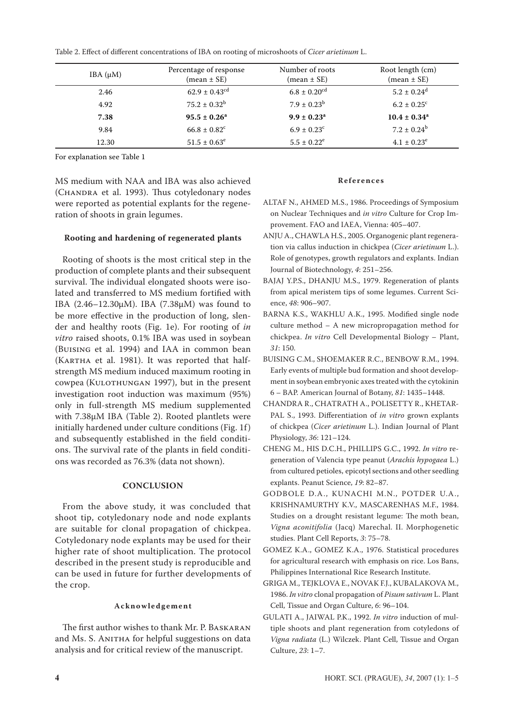Table 2. Effect of different concentrations of IBA on rooting of microshoots of *Cicer arietinum* L.

| IBA $(\mu M)$ | Percentage of response<br>$(mean \pm SE)$ | Number of roots<br>$(mean \pm SE)$ | Root length (cm)<br>$(mean \pm SE)$ |
|---------------|-------------------------------------------|------------------------------------|-------------------------------------|
| 2.46          | $62.9 \pm 0.43$ <sup>cd</sup>             | $6.8 \pm 0.20$ <sup>cd</sup>       | $5.2 \pm 0.24$ <sup>d</sup>         |
| 4.92          | $75.2 \pm 0.32^b$                         | $7.9 \pm 0.23^{\rm b}$             | $6.2 \pm 0.25$ <sup>c</sup>         |
| 7.38          | $95.5 \pm 0.26^a$                         | $9.9 \pm 0.23^a$                   | $10.4 \pm 0.34^a$                   |
| 9.84          | $66.8 \pm 0.82$ <sup>c</sup>              | $6.9 \pm 0.23^c$                   | $7.2 \pm 0.24^b$                    |
| 12.30         | $51.5 \pm 0.63^e$                         | $5.5 \pm 0.22^e$                   | $4.1 \pm 0.23^e$                    |

For explanation see Table 1

MS medium with NAA and IBA was also achieved (CHANDRA et al. 1993). Thus cotyledonary nodes were reported as potential explants for the regeneration of shoots in grain legumes.

## **Rooting and hardening of regenerated plants**

Rooting of shoots is the most critical step in the production of complete plants and their subsequent survival. The individual elongated shoots were isolated and transferred to MS medium fortified with IBA (2.46–12.30μM). IBA (7.38μM) was found to be more effective in the production of long, slender and healthy roots (Fig. 1e). For rooting of *in vitro* raised shoots, 0.1% IBA was used in soybean (Buising et al. 1994) and IAA in common bean (Kartha et al. 1981). It was reported that halfstrength MS medium induced maximum rooting in cowpea (KULOTHUNGAN 1997), but in the present investigation root induction was maximum (95%) only in full-strength MS medium supplemented with 7.38μM IBA (Table 2). Rooted plantlets were initially hardened under culture conditions (Fig. 1f) and subsequently established in the field conditions. The survival rate of the plants in field conditions was recorded as 76.3% (data not shown).

#### **CONCLUSION**

From the above study, it was concluded that shoot tip, cotyledonary node and node explants are suitable for clonal propagation of chickpea. Cotyledonary node explants may be used for their higher rate of shoot multiplication. The protocol described in the present study is reproducible and can be used in future for further developments of the crop.

#### **Ac k n o w l e d g e m e n t**

The first author wishes to thank Mr. P. Baskaran and Ms. S. ANITHA for helpful suggestions on data analysis and for critical review of the manuscript.

#### **R e f e r e n c e s**

- ALTAF N., AHMED M.S., 1986. Proceedings of Symposium on Nuclear Techniques and *in vitro* Culture for Crop Improvement. FAO and IAEA, Vienna: 405–407.
- ANJU A., CHAWLA H.S., 2005. Organogenic plant regeneration via callus induction in chickpea (*Cicer arietinum* L.). Role of genotypes, growth regulators and explants. Indian Journal of Biotechnology, *4*: 251–256.
- BAJAJ Y.P.S., DHANJU M.S., 1979. Regeneration of plants from apical meristem tips of some legumes. Current Science, *48*: 906–907.
- BARNA K.S., WAKHLU A.K., 1995. Modified single node culture method – A new micropropagation method for chickpea. *In vitro* Cell Developmental Biology – Plant, *31*: 150.
- BUISING C.M., SHOEMAKER R.C., BENBOW R.M., 1994. Early events of multiple bud formation and shoot development in soybean embryonic axes treated with the cytokinin 6 – BAP. American Journal of Botany, *81*: 1435–1448.
- CHANDRA R., CHATRATH A., POLISETTY R., KHETAR-PAL S., 1993. Differentiation of *in vitro* grown explants of chickpea (*Cicer arietinum* L.). Indian Journal of Plant Physiology, *36*: 121–124.
- CHENG M., HIS D.C.H., PHILLIPS G.C., 1992. *In vitro* regeneration of Valencia type peanut (*Arachis hypogaea* L.) from cultured petioles, epicotyl sections and other seedling explants. Peanut Science, *19*: 82–87.
- GODBOLE D.A., KUNACHI M.N., POTDER U.A., KRISHNAMURTHY K.V., MASCARENHAS M.F., 1984. Studies on a drought resistant legume: The moth bean, *Vigna aconitifolia* (Jacq) Marechal. II. Morphogenetic studies. Plant Cell Reports, *3*: 75–78.
- GOMEZ K.A., GOMEZ K.A., 1976. Statistical procedures for agricultural research with emphasis on rice. Los Bans, Philippines International Rice Research Institute.
- GRIGA M., TEJKLOVA E., NOVAK F.J., KUBALAKOVA M., 1986. *In vitro* clonal propagation of *Pisum sativum* L. Plant Cell, Tissue and Organ Culture, *6*: 96–104.
- GULATI A., JAIWAL P.K., 1992. *In vitro* induction of multiple shoots and plant regeneration from cotyledons of *Vigna radiata* (L.) Wilczek. Plant Cell, Tissue and Organ Culture, *23*: 1–7.